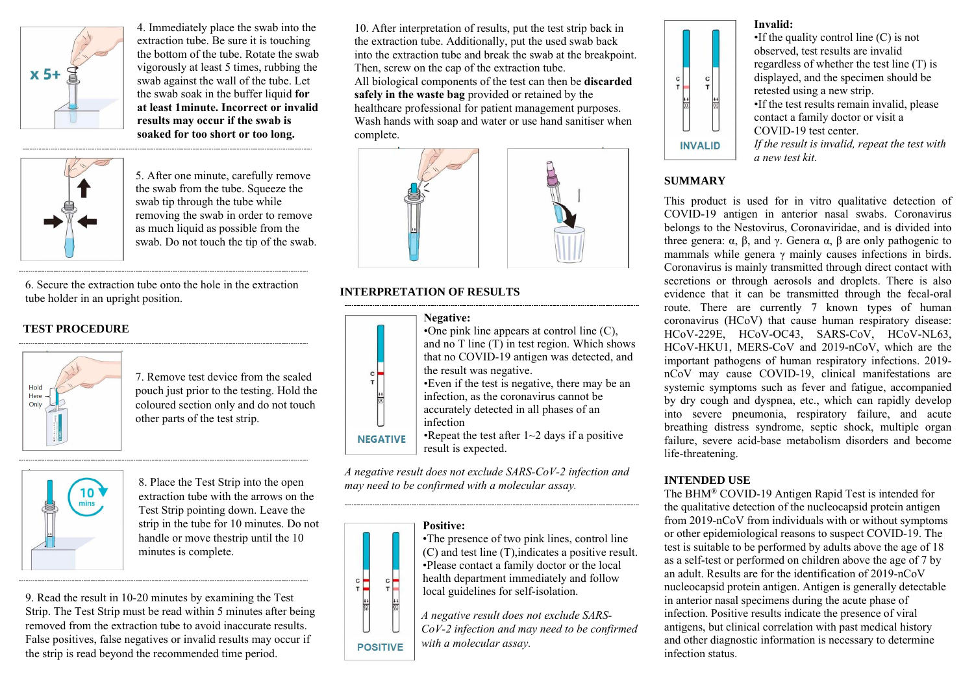

4. Immediately place the swab into the extraction tube. Be sure it is touching the bottom of the tube. Rotate the swab vigorously at least 5 times, rubbing the swab against the wall of the tube. Let the swab soak in the buffer liquid **for at least 1minute. Incorrect or invalid results may occur if the swab is soaked for too short or too long.**



5. After one minute, carefully remove the swab from the tube. Squeeze the swab tip through the tube while removing the swab in order to remove as much liquid as possible from the swab. Do not touch the tip of the swab.

6. Screw the cap on to the extraction tube tightly, making sure that it is sealed tightly.

# **TEST PROCEDURE**



7. Remove test device from the sealed pouch just prior to the testing. Set it on a flat surface.



8. Reverse the sample extraction tube and add 2 drops (about 70-80μl) of test sample by squeezing the extracted solution tube into the sample window. Wait 10 minutes. Do not handle or move the test device until the 10 minutes is complete.

9. Read the result at 10-20 minutes. Do not interpret the result after 20 minutes. False positives, false negatives or invalid results may occur if the device is read beyond the recommended time period.

10. After interpretation of results, discard all biological components safely in the waste bag provided. Report test results to the local health authority. Sanitise the work space with 70% alcohol or household bleach, and wash hands with soap and water or use hand sanitiser.

### **INTERPRETATION OF RESULTS**



*A negative result does not exclude SARS-CoV-2 infection and may need to be confirmed with a molecular assay.*

#### **Positive:**



•The presence of two pink lines, control line (C) and test line (T),indicates a positive result. •Please contact a family doctor or the local health department immediately and follow local guidelines for self-isolation.

**POSITIVE** *A negative result does not exclude SARS-CoV-2 infection and may need to be confirmed with a molecular assay.*

#### **Invalid:**



•If the quality control line (C) is not observed, test results are invalid regardless of whether the test line (T) is displayed, and the specimen should be retested using a new strip. •If the test results remain invalid, please

contact a family doctor or visit a COVID-19 **INVALID** test center.

> *If the result is invalid, repeat the test with a new test kit.*

## **SUMMARY**

This product is used for in vitro qualitative detection of COVID-19 antigen in anterior nasal swabs. Coronavirus belongs to the Nestovirus, Coronaviridae, and is divided into three genera:  $\alpha$ ,  $\beta$ , and  $\gamma$ . Genera  $\alpha$ ,  $\beta$  are only pathogenic to mammals while genera  $\gamma$  mainly causes infections in birds. Coronavirus is mainly transmitted through direct contact with secretions or through aerosols and droplets. There is also evidence that it can be transmitted through the fecal-oral route. There are currently 7 known types of human coronavirus (HCoV) that cause human respiratory disease: HCoV-229E, HCoV-OC43, SARS-CoV, HCoV-NL63, HCoV-HKU1, MERS-CoV and 2019-nCoV, which are the important pathogens of human respiratory infections. 2019 nCoV may cause COVID-19, clinical manifestations are systemic symptoms such as fever and fatigue, accompanied by dry cough and dyspnea, etc., which can rapidly develop into severe pneumonia, respiratory failure, and acute breathing distress syndrome, septic shock, multiple organ failure, severe acid-base metabolism disorders and become life-threatening.

## **INTENDED USE**

The BHM® COVID-19 Antigen Rapid Test is intended for the qualitative detection of the nucleocapsid protein antigen from 2019-nCoV from individuals with or without symptoms or other epidemiological reasons to suspect COVID-19. The test is suitable to be performed by adults above the age of 18 as a self-test or performed on children above the age of 7 by an adult. Results are for the identification of 2019-nCoV nucleocapsid protein antigen. Antigen is generally detectable in anterior nasal specimens during the acute phase of infection. Positive results indicate the presence of viral antigens, but clinical correlation with past medical history and other diagnostic information is necessary to determine infection status.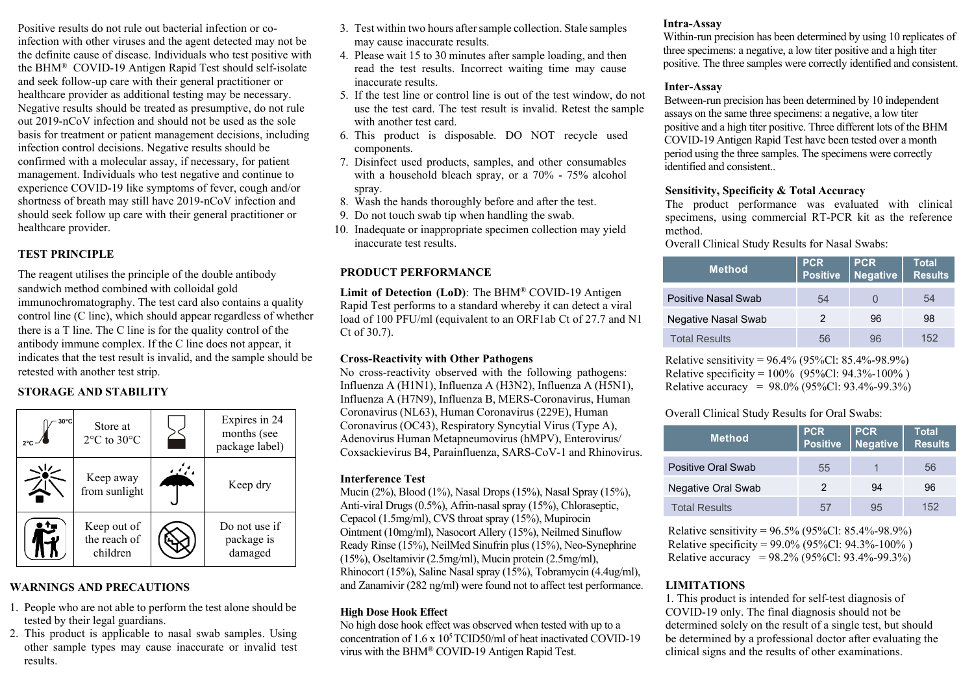Positive results do not rule out bacterial infection or coinfection with other viruses and the agent detected may not be the definite cause of disease. Individuals who test positive with the BHM® COVID-19 Antigen Rapid Test should self-isolate and seek follow-up care with their general practitioner or healthcare provider as additional testing may be necessary. Negative results should be treated as presumptive, do not rule out 2019-nCoV infection and should not be used as the sole basis for treatment or patient management decisions, including infection control decisions. Negative results should be confirmed with a molecular assay, if necessary, for patient management. Individuals who test negative and continue to experience COVID-19 like symptoms of fever, cough and/or shortness of breath may still have 2019-nCoV infection and should seek follow up care with their general practitioner or healthcare provider.

## **TEST PRINCIPLE**

The reagent utilises the principle of the double antibody sandwich method combined with colloidal gold immunochromatography. The test card also contains a quality control line (C line), which should appear regardless of whether there is a T line. The C line is for the quality control of the antibody immune complex. If the C line does not appear, it indicates that the test result is invalid, and the sample should be retested with another test strip.

## **STORAGE AND STABILITY**



## **WARNINGS AND PRECAUTIONS**

- 1. People who are not able to perform the test alone should be tested by their legal guardians.
- 2. This product is applicable to nasal swab samples. Using other sample types may cause inaccurate or invalid test results.
- 3. Test within two hours after sample collection. Stale samples may cause inaccurate results.
- 4. Please wait 15 to 30 minutes after sample loading, and then read the test results. Incorrect waiting time may cause inaccurate results.
- 5. If the test line or control line is out of the test window, do not use the test card. The test result is invalid. Retest the sample with another test card.
- 6. This product is disposable. DO NOT recycle used components.
- 7. Disinfect used products, samples, and other consumables with a household bleach spray, or a 70% - 75% alcohol spray.
- 8. Wash the hands thoroughly before and after the test.
- 9. Do not touch swab tip when handling the swab.
- 10. Inadequate or inappropriate specimen collection may yield inaccurate test results.

## **PRODUCT PERFORMANCE**

**Limit of Detection (LoD)**: The BHM® COVID-19 Antigen Rapid Test performs to a standard whereby it can detect a viral load of 100 PFU/ml (equivalent to an ORF1ab Ct of 27.7 and N1 Ct of 30.7).

#### **Cross-Reactivity with Other Pathogens**

No cross-reactivity observed with the following pathogens: Influenza A (H1N1), Influenza A (H3N2), Influenza A (H5N1), Influenza A (H7N9), Influenza B, MERS-Coronavirus, Human Coronavirus (NL63), Human Coronavirus (229E), Human Coronavirus (OC43), Respiratory Syncytial Virus (Type A), Adenovirus Human Metapneumovirus (hMPV), Enterovirus/ Coxsackievirus B4, Parainfluenza, SARS-CoV-1 and Rhinovirus.

#### **Interference Test**

Mucin (2%), Blood (1%), Nasal Drops (15%), Nasal Spray (15%), Anti-viral Drugs (0.5%), Afrin-nasal spray (15%), Chloraseptic, Cepacol (1.5mg/ml), CVS throat spray (15%), Mupirocin Ointment (10mg/ml), Nasocort Allery (15%), Neilmed Sinuflow Ready Rinse (15%), NeilMed Sinufrin plus (15%), Neo-Synephrine (15%), Oseltamivir (2.5mg/ml), Mucin protein (2.5mg/ml), Rhinocort (15%), Saline Nasal spray (15%), Tobramycin (4.4ug/ml), and Zanamivir  $(282 \text{ ng/ml})$  were found not to affect test performance.

#### **High Dose Hook Effect**

No high dose hook effect was observed when tested with up to a concentration of 1.6 x 10<sup>5</sup> TCID50/ml of heat inactivated COVID-19 virus with the BHM® COVID-19 Antigen Rapid Test.

#### **Intra-Assay**

Within-run precision has been determined by using 10 replicates of three specimens: a negative, a low titer positive and a high titer positive. The three samples were correctly identified and consistent.

#### **Inter-Assay**

Between-run precision has been determined by 10 independent assays on the same three specimens: a negative, a low titer positive and a high titer positive. Three different lots of the BHM COVID-19 Antigen Rapid Test have been tested over a month period using the three samples. The specimens were correctly identified and consistent..

#### **Sensitivity, Specificity & Total Accuracy**

The product performance was evaluated with clinical specimens, using commercial RT-PCR kit as the reference method.

Overall Clinical Study Results for Nasal Swabs:

| <b>Method</b>        | <b>PCR</b><br>Positive | <b>PCR</b><br>Negative | <b>Total</b><br><b>Results</b> |
|----------------------|------------------------|------------------------|--------------------------------|
| Positive Nasal Swab  | 54                     |                        | 54                             |
| Negative Nasal Swab  | 2                      | 96                     | 98                             |
| <b>Total Results</b> | 56                     | 96                     | 152                            |

Relative sensitivity =  $96.4\%$  (95%Cl: 85.4%-98.9%) Relative specificity =  $100\%$  (95%Cl: 94.3%-100%) Relative accuracy =  $98.0\%$  (95%Cl: 93.4%-99.3%)

Overall Clinical Study Results for Oral Swabs:

| <b>Method</b>        | <b>PCR</b><br><b>Positive</b> | <b>PCR</b><br><b>Negative</b> | Total<br><b>Results</b> |
|----------------------|-------------------------------|-------------------------------|-------------------------|
| Positive Oral Swab   | 55                            |                               | 56                      |
| Negative Oral Swab   | 2                             | 94                            | 96                      |
| <b>Total Results</b> |                               | 95                            | 152                     |

Relative sensitivity =  $96.5\%$  (95%Cl: 85.4%-98.9%) Relative specificity = 99.0% (95%Cl: 94.3%-100% ) Relative accuracy = 98.2% (95%Cl: 93.4%-99.3%)

## **LIMITATIONS**

1. This product is intended for self-test diagnosis of COVID-19 only. The final diagnosis should not be determined solely on the result of a single test, but should be determined by a professional doctor after evaluating the clinical signs and the results of other examinations.